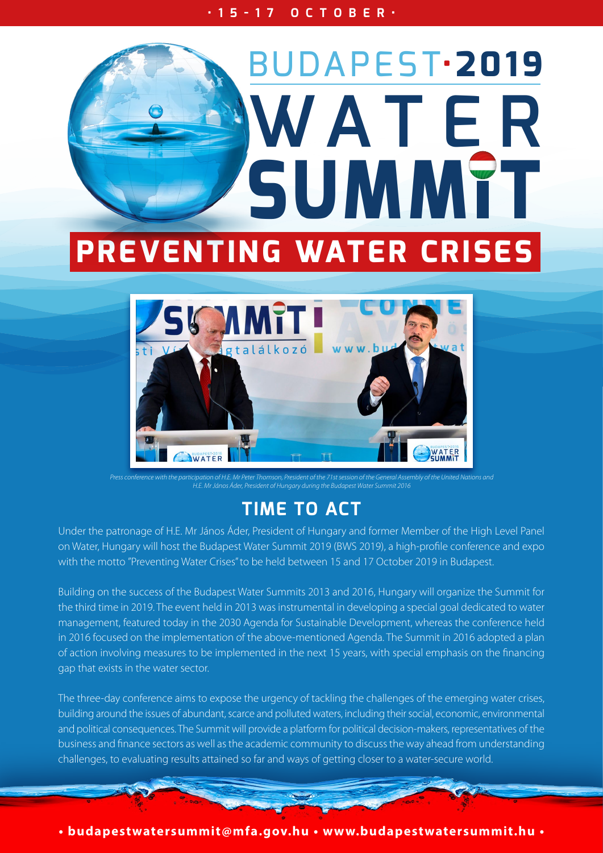**•15-17 OCTOBER•**





*H.E. Mr János Áder, President of Hungary during the Budapest Water Summit 2016*

## **TIME TO ACT**

Under the patronage of H.E. Mr János Áder, President of Hungary and former Member of the High Level Panel on Water, Hungary will host the Budapest Water Summit 2019 (BWS 2019), a high-profile conference and expo with the motto "Preventing Water Crises" to be held between 15 and 17 October 2019 in Budapest.

Building on the success of the Budapest Water Summits 2013 and 2016, Hungary will organize the Summit for the third time in 2019. The event held in 2013 was instrumental in developing a special goal dedicated to water management, featured today in the 2030 Agenda for Sustainable Development, whereas the conference held in 2016 focused on the implementation of the above-mentioned Agenda. The Summit in 2016 adopted a plan of action involving measures to be implemented in the next 15 years, with special emphasis on the financing gap that exists in the water sector.

The three-day conference aims to expose the urgency of tackling the challenges of the emerging water crises, building around the issues of abundant, scarce and polluted waters, including their social, economic, environmental and political consequences. The Summit will provide a platform for political decision-makers, representatives of the business and finance sectors as well as the academic community to discuss the way ahead from understanding challenges, to evaluating results attained so far and ways of getting closer to a water-secure world.